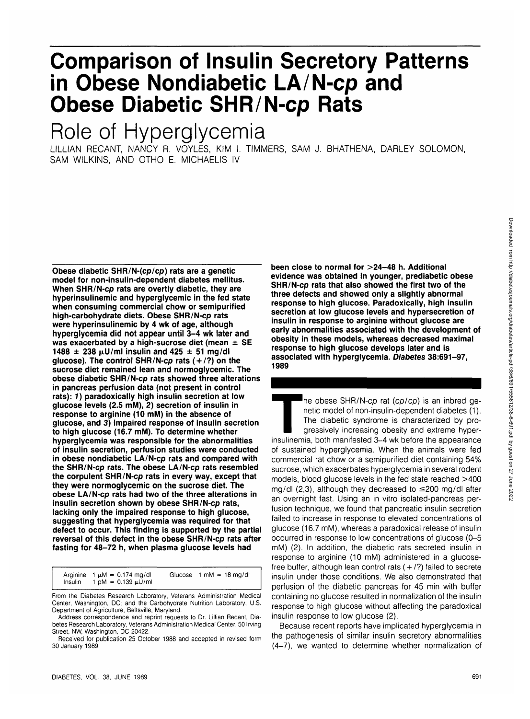# **Comparison of Insulin Secretory Patterns in Obese Nondiabetic LA/N-cp and Obese Diabetic SHR/N-cp Rats**

## **Role of Hyperglycemia**

LILLIAN RECANT, NANCY R. VOYLES, KIM I. TIMMERS, SAM J. BHATHENA, DARLEY SOLOMON, SAM WILKINS, AND OTHO E. MICHAELIS IV

**Obese diabetic SHR/N-(cp/cp) rats are a genetic model for non-insulin-dependent diabetes mellitus. When SHR/N-cp rats are overtly diabetic, they are hyperinsulinemic and hyperglycemic in the fed state when consuming commercial chow or semipurified high-carbohydrate diets. Obese SHR/N-cp rats were hyperinsulinemic by 4 wk of age, although hyperglycemia did not appear until 3-4 wk later and was exacerbated by a high-sucrose diet (mean ± SE**  $1488 \pm 238 \,\mu$ U/ml insulin and  $425 \pm 51 \,\text{mg/dl}$ **glucose). The control SHR/N-cp rats ( + /?) on the sucrose diet remained lean and normoglycemic. The obese diabetic SHR/N-cp rats showed three alterations in pancreas perfusion data (not present in control rats): 7) paradoxically high insulin secretion at low glucose levels (2.5 mM), 2) secretion of insulin in response to arginine (10 mM) in the absence of glucose, and 3) impaired response of insulin secretion to high glucose (16.7 mM). To determine whether hyperglycemia was responsible for the abnormalities of insulin secretion, perfusion studies were conducted in obese nondiabetic LA/N-cp rats and compared with the SHR/N-cp rats. The obese LA/N-cp rats resembled the corpulent SHR/N-cp rats in every way, except that they were normoglycemic on the sucrose diet. The obese LA/N-cp rats had two of the three alterations in insulin secretion shown by obese SHR/N-cp rats, lacking only the impaired response to high glucose, suggesting that hyperglycemia was required for that defect to occur. This finding is supported by the partial reversal of this defect in the obese SHR/N-cp rats after fasting for 48-72 h, when plasma glucose levels had**

Arginine  $1 \mu M = 0.174 \text{ mg/d}$ <br>Insulin  $1 \text{ pM} = 0.139 \mu U/\text{m}$  $1 \text{ pM} = 0.139 \text{ }\mu\text{U/m}$ Glucose  $1 \text{ mM} = 18 \text{ mg/dl}$ 

From the Diabetes Research Laboratory, Veterans Administration Medical Center, Washington, DC; and the Carbohydrate Nutrition Laboratory, U.S. Department of Agriculture, Beltsville, Maryland.

Address correspondence and reprint requests to Dr. Lillian Recant, Diabetes Research Laboratory, Veterans Administration Medical Center, 50 Irving Street, NW, Washington, DC 20422.

Received for publication 25 October 1988 and accepted in revised form 30 January 1989.

**been close to normal for >24-48 h. Additional evidence was obtained in younger, prediabetic obese SHR/N-cp rats that also showed the first two of the three defects and showed only a slightly abnormal response to high glucose. Paradoxically, high insulin secretion at low glucose levels and hypersecretion of insulin in response to arginine without glucose are early abnormalities associated with the development of obesity in these models, whereas decreased maximal response to high glucose develops later and is associated with hyperglycemia. Diabetes 38:691-97, 1989**

The obese SHR/N-cp rat (cp/cp) is an inbred genetic model of non-insulin-dependent diabetes (1).<br>The diabetic syndrome is characterized by progressively increasing obesity and extreme hyper-<br>insulinemia, both manifested 3netic model of non-insulin-dependent diabetes (1). The diabetic syndrome is characterized by progressively increasing obesity and extreme hyperof sustained hyperglycemia. When the animals were fed commercial rat chow or a semipurified diet containing 54% sucrose, which exacerbates hyperglycemia in several rodent models, blood glucose levels in the fed state reached >400 mg/dl  $(2,3)$ , although they decreased to  $\leq$ 200 mg/dl after an overnight fast. Using an in vitro isolated-pancreas perfusion technique, we found that pancreatic insulin secretion failed to increase in response to elevated concentrations of glucose (16.7 mM), whereas a paradoxical release of insulin occurred in response to low concentrations of glucose (0-5 mM) (2). In addition, the diabetic rats secreted insulin in response to arginine (10 mM) administered in a glucosefree buffer, although lean control rats  $(+/?)$  failed to secrete insulin under those conditions. We also demonstrated that perfusion of the diabetic pancreas for 45 min with buffer containing no glucose resulted in normalization of the insulin response to high glucose without affecting the paradoxical insulin response to low glucose (2).

Because recent reports have implicated hyperglycemia in the pathogenesis of similar insulin secretory abnormalities (4-7), we wanted to determine whether normalization of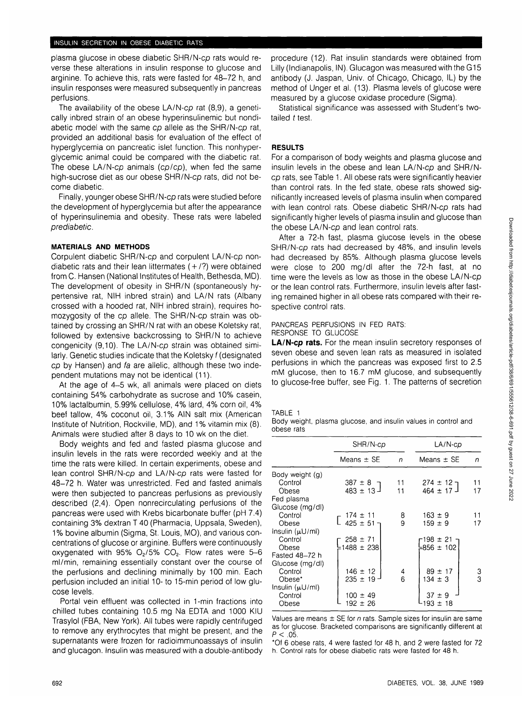plasma glucose in obese diabetic SHR/N-cp rats would reverse these alterations in insulin response to glucose and arginine. To achieve this, rats were fasted for 48-72 h, and insulin responses were measured subsequently in pancreas perfusions.

The availability of the obese LA/N-cp rat (8,9), a genetically inbred strain of an obese hyperinsulinemic but nondiabetic model with the same co allele as the SHR/N-co rat. provided an additional basis for evaluation of the effect of hyperglycemia on pancreatic islet function. This nonhyperglycemic animal could be compared with the diabetic rat. The obese LA/N-cp animals (cp/cp), when fed the same high-sucrose diet as our obese SHR/N-cp rats, did not become diabetic.

Finally, younger obese SHR/N-cp rats were studied before the development of hyperglycemia but after the appearance of hyperinsulinemia and obesity. These rats were labeled prediabetic.

## **MATERIALS AND METHODS**

Corpulent diabetic SHR/N-cp and corpulent LA/N-cp nondiabetic rats and their lean littermates  $(+/?)$  were obtained from C. Hansen (National Institutes of Health, Bethesda, MD). The development of obesity in SHR/N (spontaneously hypertensive rat, NIH inbred strain) and LA/N rats (Albany crossed with a hooded rat, NIH inbred strain), requires homozygosity of the cp allele. The SHR/N-cp strain was obtained by crossing an SHR/N rat with an obese Koletsky rat, followed by extensive backcrossing to SHR/N to achieve congenicity (9,10). The LA/N-cp strain was obtained similarly. Genetic studies indicate that the Koletsky f (designated cp by Hansen) and fa are allelic, although these two independent mutations may not be identical (11).

At the age of 4-5 wk, all animals were placed on diets containing 54% carbohydrate as sucrose and 10% casein, 10% lactalbumin, 5.99% cellulose, 4% lard, 4% corn oil, 4% beef tallow, 4% coconut oil, 3.1% AIN salt mix (American Institute of Nutrition, Rockville, MD), and 1% vitamin mix (8). Animals were studied after 8 days to 10 wk on the diet.

Body weights and fed and fasted plasma glucose and insulin levels in the rats were recorded weekly and at the time the rats were killed. In certain experiments, obese and lean control SHR/N-cp and LA/N-cp rats were fasted for 48-72 h. Water was unrestricted. Fed and fasted animals were then subjected to pancreas perfusions as previously described (2,4). Open nonrecirculating perfusions of the pancreas were used with Krebs bicarbonate buffer (pH 7.4) containing 3% dextran T 40 (Pharmacia, Uppsala, Sweden), 1% bovine albumin (Sigma, St. Louis, MO), and various concentrations of glucose or arginine. Buffers were continuously oxygenated with 95%  $O<sub>2</sub>/5$ %  $CO<sub>2</sub>$ . Flow rates were 5-6 ml/min, remaining essentially constant over the course of the perfusions and declining minimally by 100 min. Each perfusion included an initial 10- to 15-min period of low glucose levels.

Portal vein effluent was collected in 1-min fractions into chilled tubes containing 10.5 mg Na EDTA and 1000 KIU Trasylol (FBA, New York). All tubes were rapidly centrifuged to remove any erythrocytes that might be present, and the supernatants were frozen for radioimmunoassays of insulin and glucagon. Insulin was measured with a double-antibody

procedure (12). Rat insulin standards were obtained from Lilly (Indianapolis, IN). Glucagon was measured with the G15 antibody (J. Jaspan, Univ. of Chicago, Chicago, IL) by the method of Unger et al. (13). Plasma levels of glucose were measured by a glucose oxidase procedure (Sigma).

Statistical significance was assessed with Student's twotailed  $t$  test.

## **RESULTS**

For a comparison of body weights and plasma glucose and insulin levels in the obese and lean LA/N-cp and SHR/Ncp rats, see Table 1. All obese rats were significantly heavier than control rats. In the fed state, obese rats showed significantly increased levels of plasma insulin when compared with lean control rats. Obese diabetic SHR/N-cp rats had significantly higher levels of plasma insulin and glucose than the obese LA/N-cp and lean control rats.

After a 72-h fast, plasma glucose levels in the obese SHR/N-cp rats had decreased by 48%, and insulin levels had decreased by 85%. Although plasma glucose levels were close to 200 mg/dl after the 72-h fast, at no time were the levels as low as those in the obese LA/N-cp or the lean control rats. Furthermore, insulin levels after fasting remained higher in all obese rats compared with their respective control rats.

### PANCREAS PERFUSIONS IN FED RATS: RESPONSE TO GLUCOSE

**LA/N-cp rats.** For the mean insulin secretory responses of seven obese and seven lean rats as measured in isolated perfusions in which the pancreas was exposed first to 2.5 mM glucose, then to 16.7 mM glucose, and subsequently to glucose-free buffer, see Fig. 1. The patterns of secretion

## TABLE 1

Body weight, plasma glucose, and insulin values in control and obese rats

|                      | SHR/N-cp                                                             | LA/N-cp      |                            |    |  |
|----------------------|----------------------------------------------------------------------|--------------|----------------------------|----|--|
|                      | Means $\pm$ SE                                                       | $\mathsf{n}$ | Means $\pm$ SE             | n  |  |
| Body weight (g)      |                                                                      |              |                            |    |  |
| Control              |                                                                      | 11           |                            | 11 |  |
| Obese                | $387 \pm 8$<br>483 ± 13                                              | 11           | $274 \pm 12$ ]<br>464 ± 17 | 17 |  |
| Fed plasma           |                                                                      |              |                            |    |  |
| Glucose (mg/dl)      |                                                                      |              |                            |    |  |
| Control              |                                                                      | 8.           | $163 \pm 9$                | 11 |  |
| Obese                | $\left[\begin{array}{c} 174 \pm 11 \\ 425 \pm 51 \end{array}\right]$ | 9            | $159 \pm 9$                | 17 |  |
| Insulin (µU/ml)      |                                                                      |              |                            |    |  |
| Control              | $258 \pm 71$                                                         |              | -198 ± 21 ¬                |    |  |
| Obese                | $-1488 \pm 238$                                                      |              | $-856 \pm 102$             |    |  |
| Fasted 48-72 h       |                                                                      |              |                            |    |  |
| Glucose (mg/dl)      |                                                                      |              |                            |    |  |
| Control              | $146 \pm 12$                                                         | 4            | $89 \pm 17$                | 3  |  |
| Obese*               | $235 \pm 19$                                                         | 6            | $134 \pm 3$                | 3  |  |
| Insulin $(\mu U/m!)$ |                                                                      |              |                            |    |  |
| Control              | $100 \pm 49$                                                         |              | $37 \pm 9$                 |    |  |
| Obese                | $192 \pm 26$                                                         |              | 193 ± 18                   |    |  |

Values are means  $\pm$  SE for n rats. Sample sizes for insulin are same as for glucose. Bracketed comparisons are significantly different at  $P < .05$ .

\*Of 6 obese rats, 4 were fasted for 48 h, and 2 were fasted for 72 h. Control rats for obese diabetic rats were fasted for 48 h.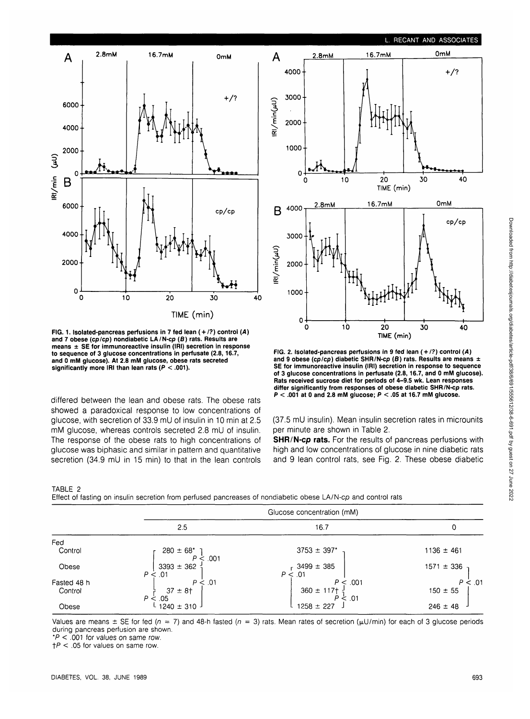**L. RECANT AND ASSOCIATES**



**FIG. 1. Isolated-pancreas perfusions in 7 fed lean ( + /?) control (A) and 7 obese (cp/cp) nondiabetic LA/N-cp (S) rats. Results are means ± SE for immunoreactive insulin (IRI) secretion in response to sequence of 3 glucose concentrations in perfusate (2.8,16.7, and 0 mM glucose). At 2.8 mM glucose, obese rats secreted significantly more IRI than lean rats (P < .001).**

differed between the lean and obese rats. The obese rats showed a paradoxical response to low concentrations of glucose, with secretion of 33.9 mU of insulin in 10 min at 2.5 mM glucose, whereas controls secreted 2.8 mU of insulin. The response of the obese rats to high concentrations of glucose was biphasic and similar in pattern and quantitative secretion (34.9 mU in 15 min) to that in the lean controls



**FIG. 2. Isolated-pancreas perfusions in 9 fed lean ( + /?) control (A) and 9 obese (cp/cp) diabetic SHR/N-cp (S) rats. Results are means ± SE for immunoreactive insulin (IRI) secretion in response to sequence of 3 glucose concentrations in perfusate (2.8,16.7, and 0 mM glucose). Rats received sucrose diet for periods of 4-9.5 wk. Lean responses differ significantly from responses of obese diabetic SHR/N-cp rats. P < .001 at 0 and 2.8 mM glucose; P < .05 at 16.7 mM glucose.**

(37.5 mU insulin). Mean insulin secretion rates in microunits per minute are shown in Table 2.

**SHR/N-cp rats.** For the results of pancreas perfusions with high and low concentrations of glucose in nine diabetic rats and 9 lean control rats, see Fig. 2. These obese diabetic

TABLE 2

Effect of fasting on insulin secretion from perfused pancreases of nondiabetic obese LA/N-cp and control rats

|             | Glucose concentration (mM)         |                                               |                |  |  |
|-------------|------------------------------------|-----------------------------------------------|----------------|--|--|
|             | 2.5                                | 16.7                                          | 0              |  |  |
| Fed         |                                    |                                               |                |  |  |
| Control     | $280 \pm 68^*$<br>$\dot{\le}$ .001 | $3753 \pm 397$ *                              | $1136 \pm 461$ |  |  |
| Obese       | $3393 \pm 362$<br>P < .01          | $3499 \pm 385$<br>P < 0.01                    | $1571 \pm 336$ |  |  |
| Fasted 48 h | P < .01                            | P < 0.001                                     | $P \leq .01$   |  |  |
| Control     | $37 \pm 8$ †<br>P <<br>.05         | $360 \pm 117$ + $\frac{1}{2}$<br>$P \leq .01$ | $150 \pm 55$   |  |  |
| Obese       | $1240 \pm 310$ J                   | $1258 \pm 227$                                | $246 \pm 48$   |  |  |

Values are means  $\pm$  SE for fed ( $n = 7$ ) and 48-h fasted ( $n = 3$ ) rats. Mean rates of secretion ( $\mu$ U/min) for each of 3 glucose periods during pancreas perfusion are shown.

 $*P < 001$  for values on same row.

 $\uparrow$  P < .05 for values on same row.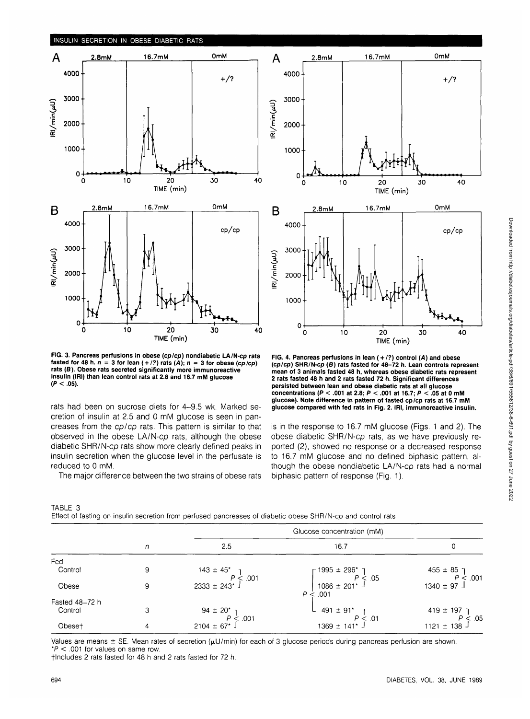

**FIG. 3. Pancreas perfusions in obese (cp/cp) nondiabetic LA/N-cp rats** fasted for 48 h.  $n = 3$  for lean  $(+/2)$  rats  $(A)$ ;  $n = 3$  for obese (cp/cp) **rats (B). Obese rats secreted significantly more immunoreactive insulin (IRI) than lean control rats at 2.8 and 16.7 mM glucose (P < .05).**

rats had been on sucrose diets for 4-9.5 wk. Marked secretion of insulin at 2.5 and 0 mM glucose is seen in pancreases from the cp/cp rats. This pattern is similar to that observed in the obese LA/N-cp rats, although the obese diabetic SHR/N-cp rats show more clearly defined peaks in insulin secretion when the glucose level in the perfusate is reduced to 0 mM.

The major difference between the two strains of obese rats



**FIG. 4. Pancreas perfusions in lean ( + /?) control (A) and obese (cp/cp) SHR/N-cp (B) rats fasted for 48-72 h. Lean controls represent mean of 3 animals fasted 48 h, whereas obese diabetic rats represent 2 rats fasted 48 h and 2 rats fasted 72 h. Significant differences persisted between lean and obese diabetic rats at all glucose concentrations (P < .001 at 2.8; P < .001 at 16.7; P < .05 at 0 mM glucose). Note difference in pattern of fasted cp/cp rats at 16.7 mM glucose compared with fed rats in Fig. 2. IRI, immunoreactive insulin.**

is in the response to 16.7 mM glucose (Figs. 1 and 2). The obese diabetic SHR/N-cp rats, as we have previously reported (2), showed no response or a decreased response to 16.7 mM glucose and no defined biphasic pattern, although the obese nondiabetic LA/N-cp rats had a normal biphasic pattern of response (Fig. 1).

| TABLE 3 |  |  |                                                                                                             |  |  |  |  |
|---------|--|--|-------------------------------------------------------------------------------------------------------------|--|--|--|--|
|         |  |  | Effect of fasting on insulin secretion from perfused pancreases of diabetic obese SHR/N-cp and control rats |  |  |  |  |

|                |   | Glucose concentration (mM)            |                                                                   |                                   |  |  |
|----------------|---|---------------------------------------|-------------------------------------------------------------------|-----------------------------------|--|--|
|                | n | 2.5                                   | 16.7                                                              | 0                                 |  |  |
| Fed            |   |                                       |                                                                   |                                   |  |  |
| Control        | 9 | $143 \pm 45^{\circ}$<br>$P \le 0.001$ | $\Gamma$ 1995 ± 296* ·                                            | $455 \pm 85$ ]                    |  |  |
| Obese          | 9 | $2333 \pm 243$ <sup>*</sup>           | $P \leq .05$<br>$1086 \pm 201$ <sup>*</sup> J<br>.001<br>$P \leq$ | P < 001<br>$1340 \pm 97$ J        |  |  |
| Fasted 48-72 h |   |                                       |                                                                   |                                   |  |  |
| Control        | 3 | 94 ± 20 <sup>*</sup> 1                | $491 \pm 91$ <sup>*</sup>                                         | $419 \pm 197$ ך                   |  |  |
| Obeset         | 4 | $P \le 0.01$<br>$2104 \pm 67$ *.      | P < 01<br>$1369 \pm 141$ * J                                      | $P \leq 0.05$<br>1121 $\pm$ 138 J |  |  |

Values are means  $\pm$  SE. Mean rates of secretion ( $\mu$ U/min) for each of 3 glucose periods during pancreas perfusion are shown.  $*P < .001$  for values on same row.

flncludes 2 rats fasted for 48 h and 2 rats fasted for 72 h.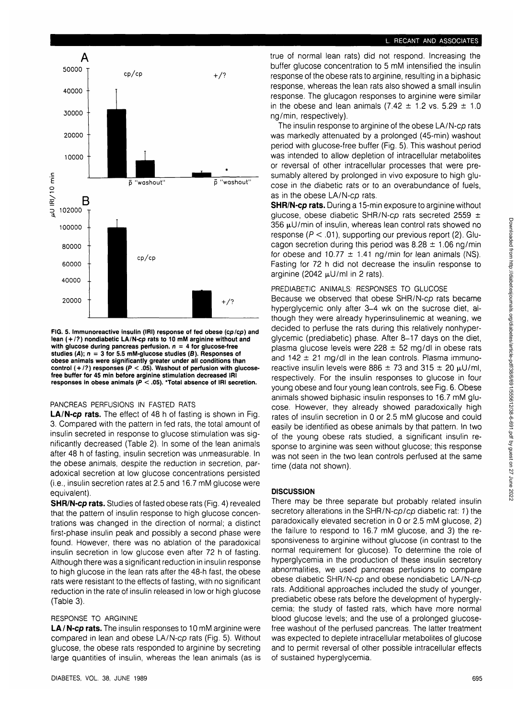#### **L. RECANT AND ASSOCIATES**



**FIG. 5. Immunoreactive insulin (IRI) response of fed obese (cp/cp) and lean ( + /?) nondiabetic LA/N-cp rats to 10 mM arginine without and with glucose during pancreas perfusion. n = 4 for glucose-free studies (A); n = 3 for 5.5 mM-glucose studies (8). Responses of obese animals were significantly greater under all conditions than control ( + /?) responses (P < .05). Washout of perfusion with glucosefree buffer for 45 min before arginine stimulation decreased IRI responses in obese animals (P < .05). 'Total absence of IRI secretion.**

## PANCREAS PERFUSIONS IN FASTED RATS

**LA/N-cp rats.** The effect of 48 h of fasting is shown in Fig. 3. Compared with the pattern in fed rats, the total amount of insulin secreted in response to glucose stimulation was significantly decreased (Table 2). In some of the lean animals after 48 h of fasting, insulin secretion was unmeasurable. In the obese animals, despite the reduction in secretion, paradoxical secretion at low glucose concentrations persisted (i.e., insulin secretion rates at 2.5 and 16.7 mM glucose were equivalent).

**SHR/N-cp rats.** Studies of fasted obese rats (Fig. 4) revealed that the pattern of insulin response to high glucose concentrations was changed in the direction of normal; a distinct first-phase insulin peak and possibly a second phase were found. However, there was no ablation of the paradoxical insulin secretion in low glucose even after 72 h of fasting. Although there was a significant reduction in insulin response to high glucose in the lean rats after the 48-h fast, the obese rats were resistant to the effects of fasting, with no significant reduction in the rate of insulin released in low or high glucose (Table 3).

### RESPONSE TO ARGININE

**LA** / **N-cp rats.** The insulin responses to 10 mM arginine were compared in lean and obese LA/N-cp rats (Fig. 5). Without glucose, the obese rats responded to arginine by secreting large quantities of insulin, whereas the lean animals (as is true of normal lean rats) did not respond. Increasing the buffer glucose concentration to 5 mM intensified the insulin response of the obese rats to arginine, resulting in a biphasic response, whereas the lean rats also showed a small insulin response. The glucagon responses to arginine were similar in the obese and lean animals (7.42  $\pm$  1.2 vs. 5.29  $\pm$  1.0 ng/min, respectively).

The insulin response to arginine of the obese LA/N-cp rats was markedly attenuated by a prolonged (45-min) washout period with glucose-free buffer (Fig. 5). This washout period was intended to allow depletion of intracellular metabolites or reversal of other intracellular processes that were presumably altered by prolonged in vivo exposure to high glucose in the diabetic rats or to an overabundance of fuels, as in the obese LA/N-cp rats.

**SHR/N-cp rats.** During a 15-min exposure to arginine without glucose, obese diabetic SHR/N-cp rats secreted 2559  $\pm$ 356  $\mu$ U/min of insulin, whereas lean control rats showed no response ( $P < .01$ ), supporting our previous report (2). Glucagon secretion during this period was  $8.28 \pm 1.06$  ng/min for obese and 10.77  $\pm$  1.41 ng/min for lean animals (NS). Fasting for 72 h did not decrease the insulin response to arginine (2042  $\mu$ U/ml in 2 rats).

### PREDIABETIC ANIMALS: RESPONSES TO GLUCOSE

Because we observed that obese SHR/N-cp rats became hyperglycemic only after 3-4 wk on the sucrose diet, although they were already hyperinsulinemic at weaning, we decided to perfuse the rats during this relatively nonhyperglycemic (prediabetic) phase. After 8-17 days on the diet, plasma glucose levels were  $228 \pm 52$  mg/dl in obese rats and  $142 \pm 21$  mg/dl in the lean controls. Plasma immunoreactive insulin levels were 886  $\pm$  73 and 315  $\pm$  20  $\mu$ U/ml, respectively. For the insulin responses to glucose in four young obese and four young lean controls, see Fig. 6. Obese animals showed biphasic insulin responses to 16.7 mM glucose. However, they already showed paradoxically high rates of insulin secretion in 0 or 2.5 mM glucose and could easily be identified as obese animals by that pattern. In two of the young obese rats studied, a significant insulin response to arginine was seen without glucose; this response was not seen in the two lean controls perfused at the same time (data not shown).

## **DISCUSSION**

There may be three separate but probably related insulin secretory alterations in the SHR/N-cp/cp diabetic rat: 1) the paradoxically elevated secretion in 0 or 2.5 mM glucose, 2) the failure to respond to 16.7 mM glucose, and 3) the responsiveness to arginine without glucose (in contrast to the normal requirement for glucose). To determine the role of hyperglycemia in the production of these insulin secretory abnormalities, we used pancreas perfusions to compare obese diabetic SHR/N-cp and obese nondiabetic LA/N-cp rats. Additional approaches included the study of younger, prediabetic obese rats before the development of hyperglycemia; the study of fasted rats, which have more normal blood glucose levels; and the use of a prolonged glucosefree washout of the perfused pancreas. The latter treatment was expected to deplete intracellular metabolites of glucose and to permit reversal of other possible intracellular effects of sustained hyperglycemia.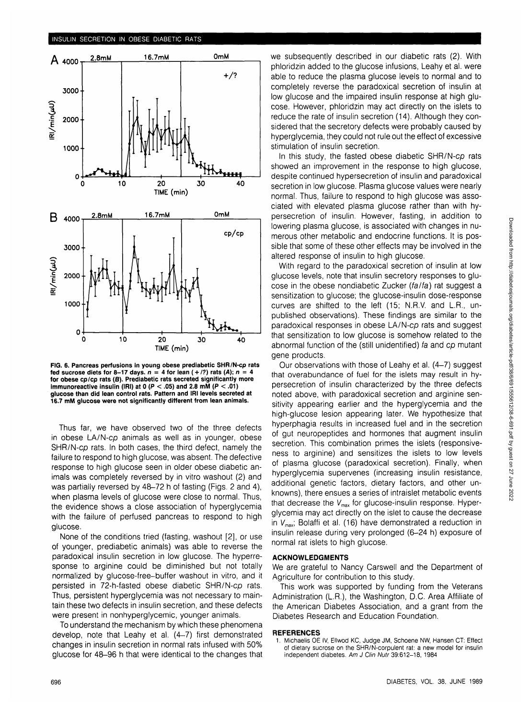

**FIG. 6. Pancreas perfusions in young obese prediabetic SHR/N-cp rats** fed sucrose diets for 8-17 days,  $n = 4$  for lean  $(+/?)$  rats  $(A)$ ;  $n =$ **for obese cp/cp rats (B). Prediabetic rats secreted significantly more immunoreactive insulin (IRI) at 0 (P < .05) and 2.8 mM (P < .01) glucose than did lean control rats. Pattern and IRI levels secreted at 16.7 mM glucose were not significantly different from lean animals.**

Thus far, we have observed two of the three defects in obese LA/N-cp animals as well as in younger, obese SHR/N-cp rats. In both cases, the third defect, namely the failure to respond to high glucose, was absent. The defective response to high glucose seen in older obese diabetic animals was completely reversed by in vitro washout (2) and was partially reversed by 48-72 h of fasting (Figs. 2 and 4), when plasma levels of glucose were close to normal. Thus, the evidence shows a close association of hyperglycemia with the failure of perfused pancreas to respond to high glucose.

None of the conditions tried (fasting, washout [2], or use of younger, prediabetic animals) was able to reverse the paradoxical insulin secretion in low glucose. The hyperresponse to arginine could be diminished but not totally normalized by glucose-free-buffer washout in vitro, and it persisted in 72-h-fasted obese diabetic SHR/N-cp rats. Thus, persistent hyperglycemia was not necessary to maintain these two defects in insulin secretion, and these defects were present in nonhyperglycemic, younger animals.

To understand the mechanism by which these phenomena develop, note that Leahy et al. (4-7) first demonstrated changes in insulin secretion in normal rats infused with 50% glucose for 48-96 h that were identical to the changes that

we subsequently described in our diabetic rats (2). With phloridzin added to the glucose infusions, Leahy et al. were able to reduce the plasma glucose levels to normal and to completely reverse the paradoxical secretion of insulin at low glucose and the impaired insulin response at high glucose. However, phloridzin may act directly on the islets to reduce the rate of insulin secretion (14). Although they considered that the secretory defects were probably caused by hyperglycemia, they could not rule out the effect of excessive stimulation of insulin secretion.

In this study, the fasted obese diabetic SHR/N-cp rats showed an improvement in the response to high glucose, despite continued hypersecretion of insulin and paradoxical secretion in low glucose. Plasma glucose values were nearly normal. Thus, failure to respond to high glucose was associated with elevated plasma glucose rather than with hypersecretion of insulin. However, fasting, in addition to lowering plasma glucose, is associated with changes in numerous other metabolic and endocrine functions. It is possible that some of these other effects may be involved in the altered response of insulin to high glucose.

With regard to the paradoxical secretion of insulin at low glucose levels, note that insulin secretory responses to glucose in the obese nondiabetic Zucker (fa/fa) rat suggest a sensitization to glucose; the glucose-insulin dose-response curves are shifted to the left (15; N.R.V. and L.R., unpublished observations). These findings are similar to the paradoxical responses in obese LA/N-cp rats and suggest that sensitization to low glucose is somehow related to the abnormal function of the (still unidentified) fa and cp mutant gene products.

Our observations with those of Leahy et al. (4-7) suggest that overabundance of fuel for the islets may result in hypersecretion of insulin characterized by the three defects noted above, with paradoxical secretion and arginine sensitivity appearing earlier and the hyperglycemia and the high-glucose lesion appearing later. We hypothesize that hyperphagia results in increased fuel and in the secretion of gut neuropeptides and hormones that augment insulin secretion. This combination primes the islets (responsiveness to arginine) and sensitizes the islets to low levels of plasma glucose (paradoxical secretion). Finally, when hyperglycemia supervenes (increasing insulin resistance, additional genetic factors, dietary factors, and other unknowns), there ensues a series of intraislet metabolic events that decrease the  $V_{\text{max}}$  for glucose-insulin response. Hyperglycemia may act directly on the islet to cause the decrease in  $V_{\text{max}}$ ; Bolaffi et al. (16) have demonstrated a reduction in insulin release during very prolonged (6-24 h) exposure of normal rat islets to high glucose.

#### **ACKNOWLEDGMENTS**

We are grateful to Nancy Carswell and the Department of Agriculture for contribution to this study.

This work was supported by funding from the Veterans Administration (L.R.), the Washington, D.C. Area Affiliate of the American Diabetes Association, and a grant from the Diabetes Research and Education Foundation.

#### **REFERENCES**

1. Michaelis OE IV, Ellwod KC, Judge JM, Schoene NW, Hansen CT: Effect of dietary sucrose on the SHR/N-corpulent rat: a new model for insulin independent diabetes. Am J Clin Nutr 39:612-18, 1984